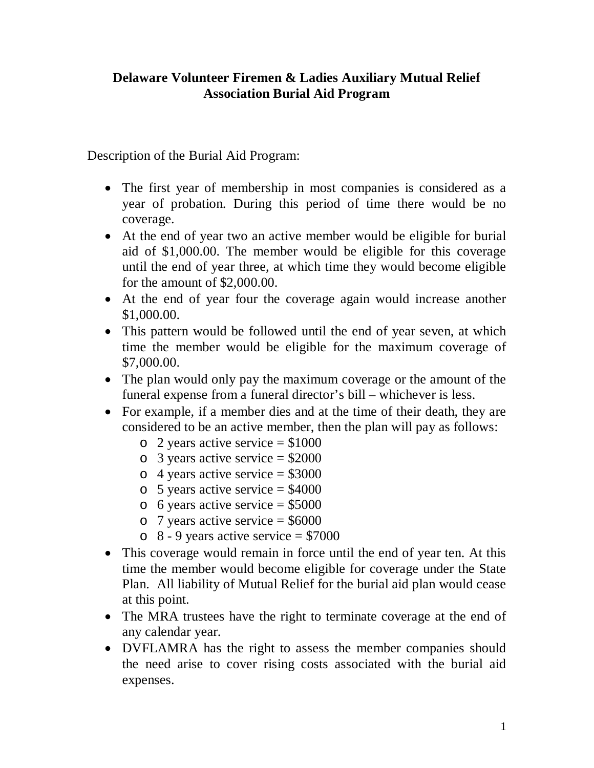## **Delaware Volunteer Firemen & Ladies Auxiliary Mutual Relief Association Burial Aid Program**

Description of the Burial Aid Program:

- The first year of membership in most companies is considered as a year of probation. During this period of time there would be no coverage.
- At the end of year two an active member would be eligible for burial aid of \$1,000.00. The member would be eligible for this coverage until the end of year three, at which time they would become eligible for the amount of \$2,000.00.
- At the end of year four the coverage again would increase another \$1,000.00.
- This pattern would be followed until the end of year seven, at which time the member would be eligible for the maximum coverage of \$7,000.00.
- The plan would only pay the maximum coverage or the amount of the funeral expense from a funeral director's bill – whichever is less.
- For example, if a member dies and at the time of their death, they are considered to be an active member, then the plan will pay as follows:
	- $\circ$  2 years active service = \$1000
	- $\circ$  3 years active service = \$2000
	- $\circ$  4 years active service = \$3000
	- $\circ$  5 years active service = \$4000
	- $\circ$  6 years active service = \$5000
	- $\circ$  7 years active service = \$6000
	- $\circ$  8 9 years active service = \$7000
- This coverage would remain in force until the end of year ten. At this time the member would become eligible for coverage under the State Plan. All liability of Mutual Relief for the burial aid plan would cease at this point.
- The MRA trustees have the right to terminate coverage at the end of any calendar year.
- DVFLAMRA has the right to assess the member companies should the need arise to cover rising costs associated with the burial aid expenses.